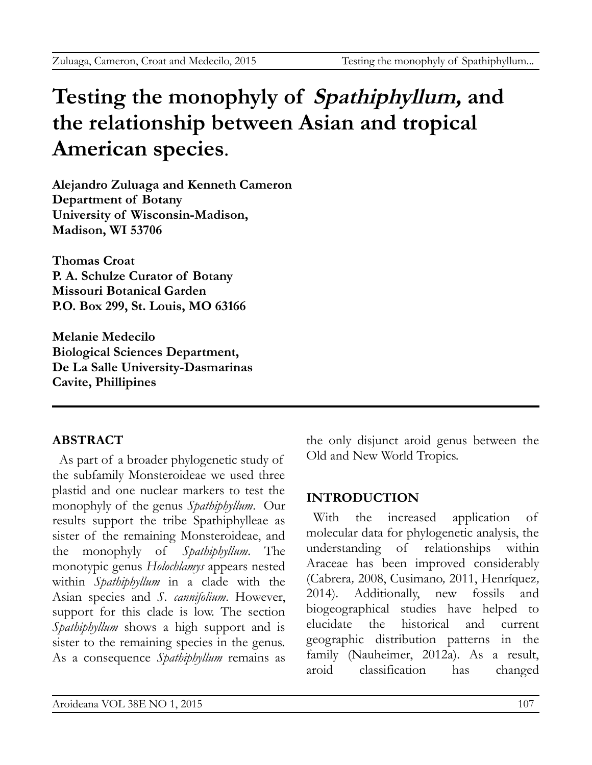# **Testing the monophyly of Spathiphyllum, and the relationship between Asian and tropical American species***.*

**Alejandro Zuluaga and Kenneth Cameron Department of Botany University of Wisconsin-Madison, Madison, WI 53706**

**Thomas Croat P. A. Schulze Curator of Botany Missouri Botanical Garden P.O. Box 299, St. Louis, MO 63166**

**Melanie Medecilo Biological Sciences Department, De La Salle University-Dasmarinas Cavite, Phillipines**

# **ABSTRACT**

As part of a broader phylogenetic study of the subfamily Monsteroideae we used three plastid and one nuclear markers to test the monophyly of the genus *Spathiphyllum*. Our results support the tribe Spathiphylleae as sister of the remaining Monsteroideae, and the monophyly of *Spathiphyllum*. The monotypic genus *Holochlamys* appears nested within *Spathiphyllum* in a clade with the Asian species and *S. cannifolium*. However, support for this clade is low. The section *Spathiphyllum* shows a high support and is sister to the remaining species in the genus. As a consequence *Spathiphyllum* remains as

the only disjunct aroid genus between the Old and New World Tropics.

# **INTRODUCTION**

With the increased application of molecular data for phylogenetic analysis, the understanding of relationships within Araceae has been improved considerably (Cabrera*,* 2008, Cusimano*,* 2011, Henríquez*,* 2014). Additionally, new fossils and biogeographical studies have helped to elucidate the historical and current geographic distribution patterns in the family (Nauheimer, 2012a). As a result, aroid classification has changed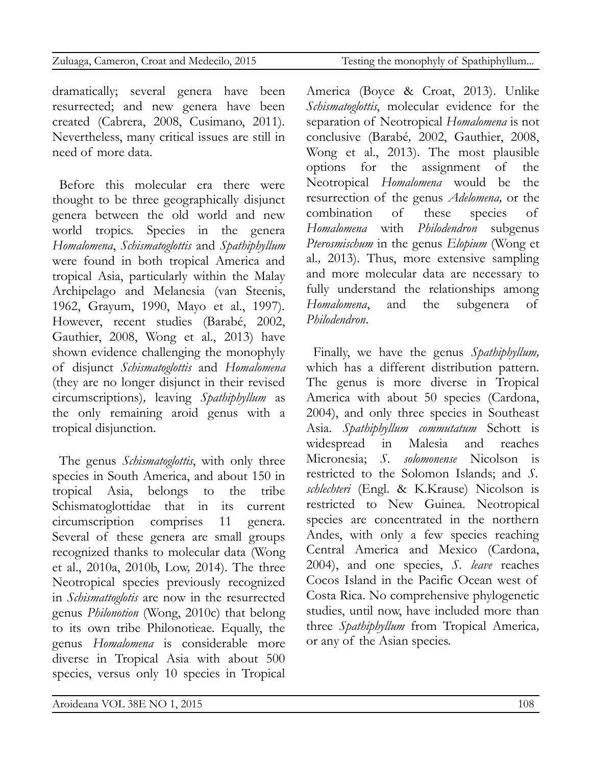| Zuluaga, Cameron, Croat and Medecilo, 2015 | Testing the monophyly of Spathiphyllum |
|--------------------------------------------|----------------------------------------|
|                                            |                                        |

dramatically; several genera have been resurrected; and new genera have been created (Cabrera, 2008, Cusimano, 2011). Nevertheless, many critical issues are still in need of more data.

Before this molecular era there were thought to be three geographically disjunct genera between the old world and new world tropics. Species in the genera *Homalomena*, *Schismatoglottis* and *Spathiphyllum* were found in both tropical America and tropical Asia, particularly within the Malay Archipelago and Melanesia (van Steenis, 1962, Grayum, 1990, Mayo et al., 1997). However, recent studies (Barabé, 2002, Gauthier, 2008, Wong et al., 2013) have shown evidence challenging the monophyly of disjunct *Schismatoglottis* and *Homalomena* (they are no longer disjunct in their revised circumscriptions)*,* leaving *Spathiphyllum* as the only remaining aroid genus with a tropical disjunction.

The genus *Schismatoglottis*, with only three species in South America, and about 150 in tropical Asia, belongs to the tribe Schismatoglottidae that in its current circumscription comprises 11 genera. Several of these genera are small groups recognized thanks to molecular data (Wong et al., 2010a, 2010b, Low*,* 2014). The three Neotropical species previously recognized in *Schismattoglotis* are now in the resurrected genus *Philonotion* (Wong, 2010c) that belong to its own tribe Philonotieae. Equally, the genus *Homalomena* is considerable more diverse in Tropical Asia with about 500 species, versus only 10 species in Tropical

America (Boyce & Croat, 2013). Unlike *Schismatoglottis*, molecular evidence for the separation of Neotropical *Homalomena* is not conclusive (Barabé*,* 2002, Gauthier, 2008, Wong et al., 2013). The most plausible options for the assignment of the Neotropical *Homalomena* would be the resurrection of the genus *Adelomena,* or the combination of these species of *Homalomena* with *Philodendron* subgenus *Pterosmischum* in the genus *Elopium* (Wong et al*.,* 2013). Thus, more extensive sampling and more molecular data are necessary to fully understand the relationships among *Homalomena*, and the subgenera of *Philodendron*.

Finally, we have the genus *Spathiphyllum,* which has a different distribution pattern. The genus is more diverse in Tropical America with about 50 species (Cardona, 2004), and only three species in Southeast Asia. *Spathiphyllum commutatum* Schott is widespread in Malesia and reaches Micronesia; *S. solomonense* Nicolson is restricted to the Solomon Islands; and *S. schlechteri* (Engl. & K.Krause) Nicolson is restricted to New Guinea. Neotropical species are concentrated in the northern Andes, with only a few species reaching Central America and Mexico (Cardona, 2004), and one species, *S. leave* reaches Cocos Island in the Pacific Ocean west of Costa Rica. No comprehensive phylogenetic studies, until now, have included more than three *Spathiphyllum* from Tropical America*,* or any of the Asian species.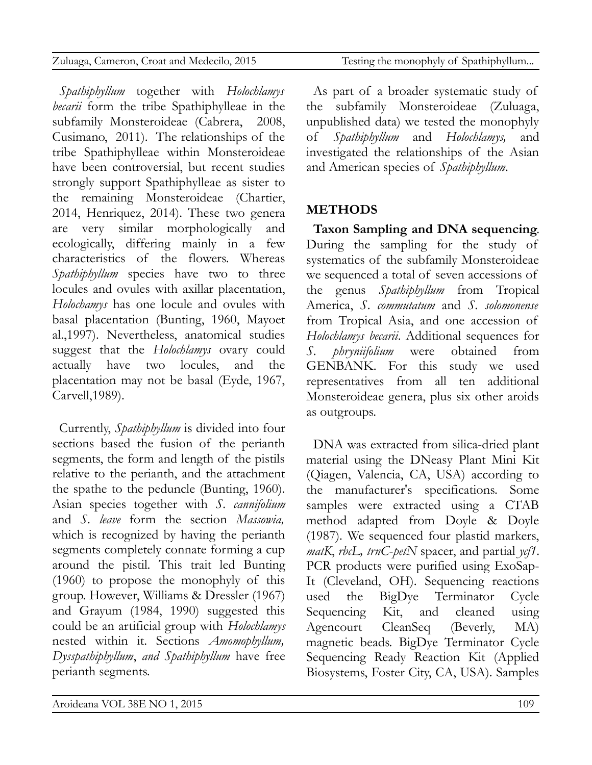| Zuluaga, Cameron, Croat and Medecilo, 2015 | Testing the monophyly of Spathiphyllum |
|--------------------------------------------|----------------------------------------|

*Spathiphyllum* together with *Holochlamys becarii* form the tribe Spathiphylleae in the subfamily Monsteroideae (Cabrera, 2008, Cusimano, 2011). The relationships of the tribe Spathiphylleae within Monsteroideae have been controversial, but recent studies strongly support Spathiphylleae as sister to the remaining Monsteroideae (Chartier, 2014, Henriquez, 2014). These two genera are very similar morphologically and ecologically, differing mainly in a few characteristics of the flowers. Whereas *Spathiphyllum* species have two to three locules and ovules with axillar placentation, *Holochamys* has one locule and ovules with basal placentation (Bunting, 1960, Mayoet al.,1997). Nevertheless, anatomical studies suggest that the *Holochlamys* ovary could actually have two locules, and the placentation may not be basal (Eyde, 1967, Carvell,1989).

Currently, *Spathiphyllum* is divided into four sections based the fusion of the perianth segments, the form and length of the pistils relative to the perianth, and the attachment the spathe to the peduncle (Bunting, 1960). Asian species together with *S. cannifolium* and *S. leave* form the section *Massowia,* which is recognized by having the perianth segments completely connate forming a cup around the pistil*.* This trait led Bunting (1960) to propose the monophyly of this group. However, Williams & Dressler (1967) and Grayum (1984, 1990) suggested this could be an artificial group with *Holochlamys* nested within it. Sections *Amomophyllum, Dysspathiphyllum*, *and Spathiphyllum* have free perianth segments.

As part of a broader systematic study of the subfamily Monsteroideae (Zuluaga, unpublished data) we tested the monophyly of *Spathiphyllum* and *Holochlamys,* and investigated the relationships of the Asian and American species of *Spathiphyllum*.

#### **METHODS**

**Taxon Sampling and DNA sequencing**. During the sampling for the study of systematics of the subfamily Monsteroideae we sequenced a total of seven accessions of the genus *Spathiphyllum* from Tropical America, *S*. *commutatum* and *S. solomonense* from Tropical Asia, and one accession of *Holochlamys becarii*. Additional sequences for *S. phryniifolium* were obtained from GENBANK. For this study we used representatives from all ten additional Monsteroideae genera, plus six other aroids as outgroups.

DNA was extracted from silica-dried plant material using the DNeasy Plant Mini Kit (Qiagen, Valencia, CA, USA) according to the manufacturer's specifications. Some samples were extracted using a CTAB method adapted from Doyle & Doyle (1987). We sequenced four plastid markers, *matK*, *rbcL, trnC*-*petN* spacer, and partial *ycf1*. PCR products were purified using ExoSap-It (Cleveland, OH). Sequencing reactions used the BigDye Terminator Cycle Sequencing Kit, and cleaned using Agencourt CleanSeq (Beverly, MA) magnetic beads. BigDye Terminator Cycle Sequencing Ready Reaction Kit (Applied Biosystems, Foster City, CA, USA). Samples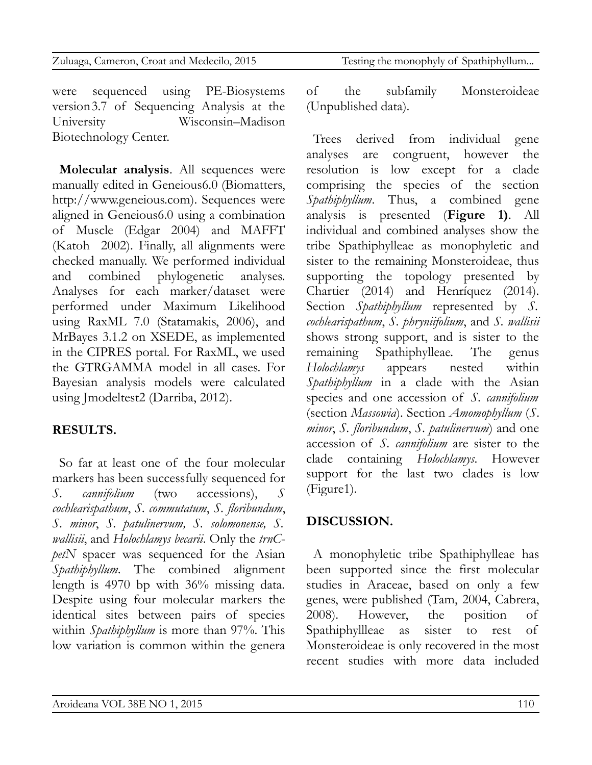| Zuluaga, Cameron, Croat and Medecilo, 2015 | Testing the monophyly of Spathiphyllum |
|--------------------------------------------|----------------------------------------|
|                                            |                                        |
|                                            |                                        |
|                                            |                                        |

were sequenced using PE-Biosystems version3.7 of Sequencing Analysis at the University Wisconsin–Madison Biotechnology Center.

**Molecular analysis**. All sequences were manually edited in Geneious6.0 (Biomatters, http://www.geneious.com). Sequences were aligned in Geneious6.0 using a combination of Muscle (Edgar 2004) and MAFFT (Katoh 2002). Finally, all alignments were checked manually. We performed individual and combined phylogenetic analyses. Analyses for each marker/dataset were performed under Maximum Likelihood using RaxML 7.0 (Statamakis, 2006), and MrBayes 3.1.2 on XSEDE, as implemented in the CIPRES portal. For RaxML, we used the GTRGAMMA model in all cases. For Bayesian analysis models were calculated using Jmodeltest2 (Darriba, 2012).

# **RESULTS.**

So far at least one of the four molecular markers has been successfully sequenced for *S. cannifolium* (two accessions), *S cochlearispathum*, *S. commutatum*, *S. floribundum*, *S. minor*, *S. patulinervum, S. solomonense, S. wallisii*, and *Holochlamys becarii*. Only the *trnCpetN* spacer was sequenced for the Asian *Spathiphyllum*. The combined alignment length is 4970 bp with 36% missing data. Despite using four molecular markers the identical sites between pairs of species within *Spathiphyllum* is more than 97%. This low variation is common within the genera

of the subfamily Monsteroideae (Unpublished data).

Trees derived from individual gene analyses are congruent, however the resolution is low except for a clade comprising the species of the section *Spathiphyllum*. Thus, a combined gene analysis is presented (**Figure 1)**. All individual and combined analyses show the tribe Spathiphylleae as monophyletic and sister to the remaining Monsteroideae, thus supporting the topology presented by Chartier (2014) and Henríquez (2014). Section *Spathiphyllum* represented by *S. cochlearispathum*, *S. phryniifolium*, and *S. wallisii* shows strong support, and is sister to the remaining Spathiphylleae. The genus *Holochlamys* appears nested within *Spathiphyllum* in a clade with the Asian species and one accession of *S. cannifolium* (section *Massowia*). Section *Amomophyllum* (*S*. *minor*, *S. floribundum*, *S. patulinervum*) and one accession of *S. cannifolium* are sister to the clade containing *Holochlamys*. However support for the last two clades is low (Figure1).

# **DISCUSSION.**

A monophyletic tribe Spathiphylleae has been supported since the first molecular studies in Araceae, based on only a few genes, were published (Tam, 2004, Cabrera, 2008). However, the position of Spathiphyllleae as sister to rest of Monsteroideae is only recovered in the most recent studies with more data included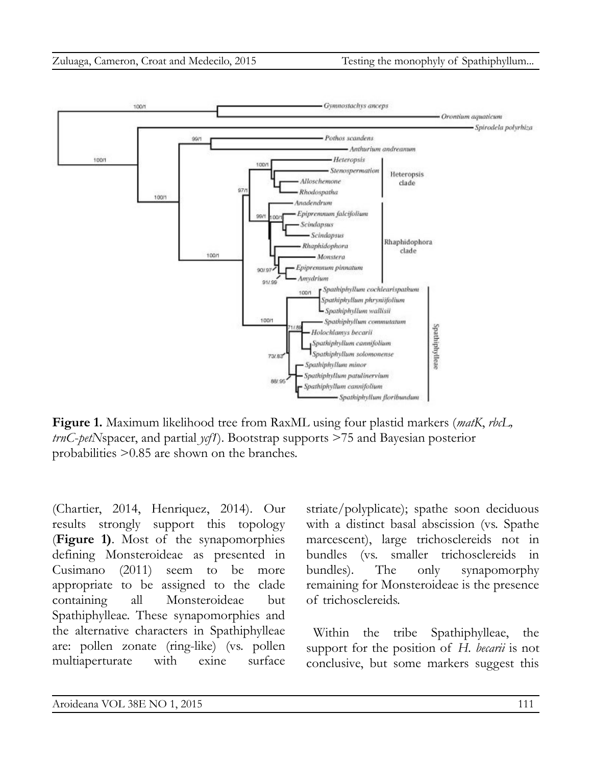

**Figure 1.** Maximum likelihood tree from RaxML using four plastid markers (*matK*, *rbcL, trnC*-*petN*spacer, and partial *ycf1*). Bootstrap supports >75 and Bayesian posterior probabilities >0.85 are shown on the branches.

(Chartier, 2014, Henriquez, 2014)*.* Our results strongly support this topology (**Figure 1)**. Most of the synapomorphies defining Monsteroideae as presented in Cusimano (2011) seem to be more appropriate to be assigned to the clade containing all Monsteroideae but Spathiphylleae. These synapomorphies and the alternative characters in Spathiphylleae are: pollen zonate (ring-like) (vs. pollen multiaperturate with exine surface

striate/polyplicate); spathe soon deciduous with a distinct basal abscission (vs. Spathe marcescent), large trichosclereids not in bundles (vs. smaller trichosclereids in bundles). The only synapomorphy remaining for Monsteroideae is the presence of trichosclereids.

Within the tribe Spathiphylleae, the support for the position of *H. becarii* is not conclusive, but some markers suggest this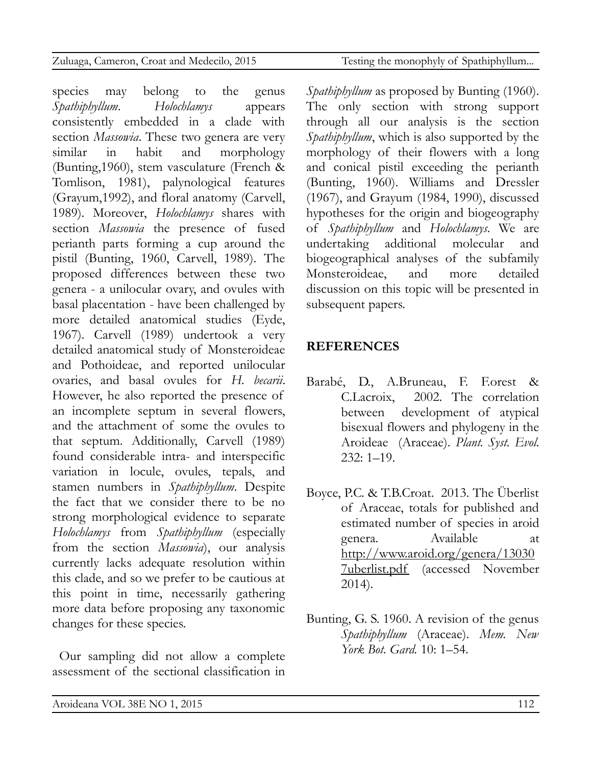species may belong to the genus *Spathiphyllum*. *Holochlamys* appears consistently embedded in a clade with section *Massowia*. These two genera are very similar in habit and morphology (Bunting,1960), stem vasculature (French & Tomlison, 1981), palynological features (Grayum,1992), and floral anatomy (Carvell, 1989). Moreover, *Holochlamys* shares with section *Massowia* the presence of fused perianth parts forming a cup around the pistil (Bunting, 1960, Carvell, 1989). The proposed differences between these two genera - a unilocular ovary, and ovules with basal placentation - have been challenged by more detailed anatomical studies (Eyde, 1967). Carvell (1989) undertook a very detailed anatomical study of Monsteroideae and Pothoideae, and reported unilocular ovaries, and basal ovules for *H. becarii*. However, he also reported the presence of an incomplete septum in several flowers, and the attachment of some the ovules to that septum. Additionally, Carvell (1989) found considerable intra- and interspecific variation in locule, ovules, tepals, and stamen numbers in *Spathiphyllum*. Despite the fact that we consider there to be no strong morphological evidence to separate *Holochlamys* from *Spathiphyllum* (especially from the section *Massowia*), our analysis currently lacks adequate resolution within this clade, and so we prefer to be cautious at this point in time, necessarily gathering more data before proposing any taxonomic changes for these species.

Our sampling did not allow a complete assessment of the sectional classification in *Spathiphyllum* as proposed by Bunting (1960). The only section with strong support through all our analysis is the section *Spathiphyllum*, which is also supported by the morphology of their flowers with a long and conical pistil exceeding the perianth (Bunting, 1960). Williams and Dressler (1967), and Grayum (1984, 1990), discussed hypotheses for the origin and biogeography of *Spathiphyllum* and *Holochlamys*. We are undertaking additional molecular and biogeographical analyses of the subfamily Monsteroideae, and more detailed discussion on this topic will be presented in subsequent papers.

#### **REFERENCES**

- Barabé, D., A.Bruneau, F. F.orest & C.Lacroix, 2002. The correlation between development of atypical bisexual flowers and phylogeny in the Aroideae (Araceae). *Plant. Syst. Evol.*  $232:1 - 19$ .
- Boyce, P.C. & T.B.Croat. 2013. The Überlist of Araceae, totals for published and estimated number of species in aroid genera. Available at [http://www.aroid.org/genera/13030](http://www.aroid.org/genera/130307uberlist.pdf) [7uberlist.pdf](http://www.aroid.org/genera/130307uberlist.pdf) (accessed November 2014).
- Bunting, G. S. 1960. A revision of the genus *Spathiphyllum* (Araceae). *Mem. New York Bot. Gard.* 10: 1–54.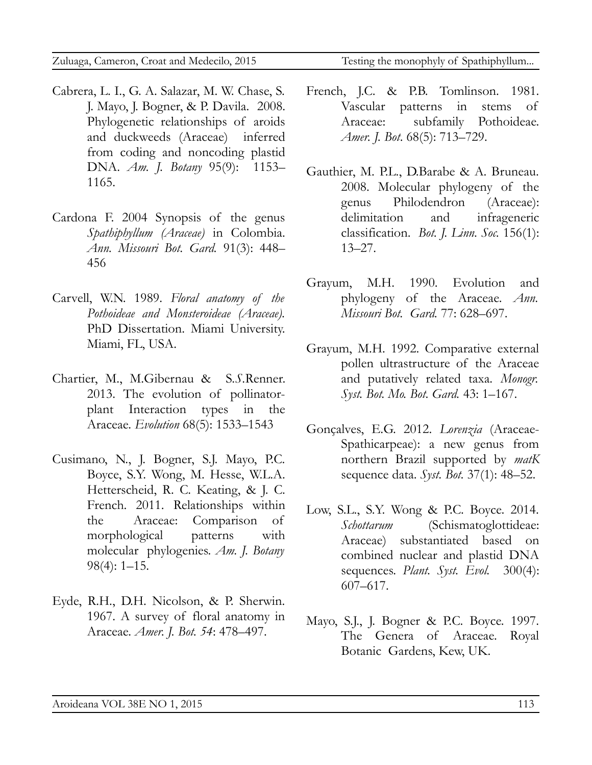- Cabrera, L. I., G. A. Salazar, M. W. Chase, S. J. Mayo, J. Bogner, & P. Davila. 2008. Phylogenetic relationships of aroids and duckweeds (Araceae) inferred from coding and noncoding plastid DNA. *Am. J. Botany* 95(9): 1153– 1165.
- Cardona F. 2004 Synopsis of the genus *Spathiphyllum (Araceae)* in Colombia. *Ann. Missouri Bot. Gard.* 91(3): 448– 456
- Carvell, W.N. 1989. *Floral anatomy of the Pothoideae and Monsteroideae (Araceae).* PhD Dissertation. Miami University. Miami, FL, USA.
- Chartier, M., M.Gibernau & S*.S.*Renner. 2013. The evolution of pollinatorplant Interaction types in the Araceae. *Evolution* 68(5): 1533–1543
- Cusimano, N., J. Bogner, S.J. Mayo, P.C. Boyce, S.Y. Wong, M. Hesse, W.L.A. Hetterscheid, R. C. Keating, & J. C. French. 2011. Relationships within the Araceae: Comparison of morphological patterns with molecular phylogenies. *Am. J. Botany* 98(4): 1–15.
- Eyde, R.H., D.H. Nicolson, & P. Sherwin. 1967. A survey of floral anatomy in Araceae. *Amer. J. Bot. 54*: 478–497.

- French, J.C. & P.B. Tomlinson. 1981. Vascular patterns in stems of Araceae: subfamily Pothoideae. *Amer. J. Bot*. 68(5): 713–729.
- Gauthier, M. P.L., D.Barabe & A. Bruneau. 2008. Molecular phylogeny of the genus Philodendron (Araceae): delimitation and infrageneric classification. *Bot. J. Linn. Soc.* 156(1): 13–27.
- Grayum, M.H. 1990. Evolution and phylogeny of the Araceae. *Ann. Missouri Bot. Gard.* 77: 628–697.
- Grayum, M.H. 1992. Comparative external pollen ultrastructure of the Araceae and putatively related taxa. *Monogr. Syst. Bot. Mo. Bot. Gard.* 43: 1–167.
- Gonçalves, E.G. 2012. *Lorenzia* (Araceae-Spathicarpeae): a new genus from northern Brazil supported by *matK* sequence data. *Syst. Bot.* 37(1): 48–52.
- Low, S.L., S.Y. Wong & P.C. Boyce. 2014. *Schottarum* (Schismatoglottideae: Araceae) substantiated based on combined nuclear and plastid DNA sequences. *Plant. Syst. Evol.* 300(4): 607–617.
- Mayo, S.J., J. Bogner & P.C. Boyce. 1997. The Genera of Araceae. Royal Botanic Gardens, Kew, UK.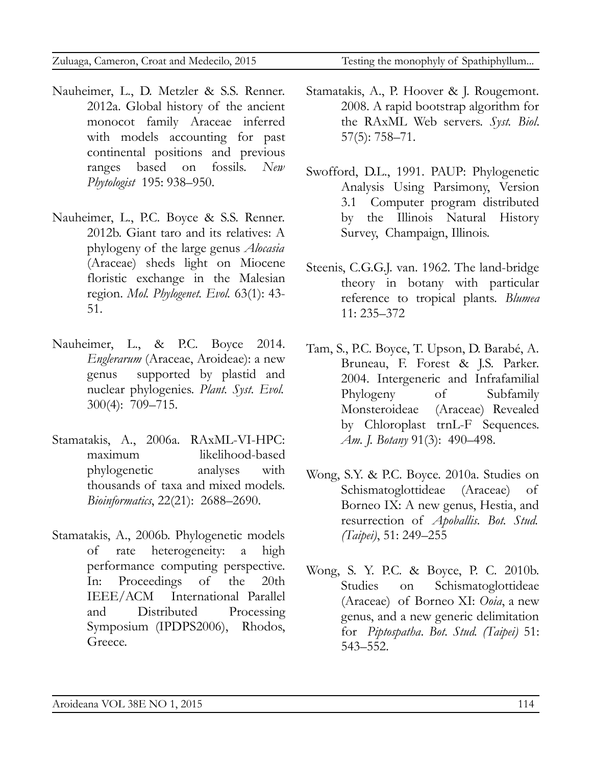- Nauheimer, L., D. Metzler & S.S. Renner. 2012a. Global history of the ancient monocot family Araceae inferred with models accounting for past continental positions and previous ranges based on fossils. *New Phytologist* 195: 938–950.
- Nauheimer, L., P.C. Boyce & S.S. Renner. 2012b. Giant taro and its relatives: A phylogeny of the large genus *Alocasia* (Araceae) sheds light on Miocene floristic exchange in the Malesian region. *Mol. Phylogenet. Evol.* 63(1): 43- 51.
- Nauheimer, L., & P.C. Boyce 2014. *Englerarum* (Araceae, Aroideae): a new genus supported by plastid and nuclear phylogenies. *Plant. Syst. Evol.* 300(4): 709–715.
- Stamatakis, A., 2006a. RAxML-VI-HPC: maximum likelihood-based phylogenetic analyses with thousands of taxa and mixed models. *Bioinformatics*, 22(21): 2688–2690.
- Stamatakis, A., 2006b. Phylogenetic models of rate heterogeneity: a high performance computing perspective. In: Proceedings of the 20th IEEE/ACM International Parallel and Distributed Processing Symposium (IPDPS2006), Rhodos, Greece.

- Stamatakis, A., P. Hoover & J. Rougemont. 2008. A rapid bootstrap algorithm for the RAxML Web servers. *Syst. Biol*. 57(5): 758–71.
- Swofford, D.L., 1991. PAUP: Phylogenetic Analysis Using Parsimony, Version 3.1 Computer program distributed by the Illinois Natural History Survey, Champaign, Illinois.
- Steenis, C.G.G.J. van. 1962. The land-bridge theory in botany with particular reference to tropical plants. *Blumea* 11: 235–372
- Tam, S., P.C. Boyce, T. Upson, D. Barabé, A. Bruneau, F. Forest & J.S. Parker. 2004. Intergeneric and Infrafamilial Phylogeny of Subfamily Monsteroideae (Araceae) Revealed by Chloroplast trnL-F Sequences. *Am. J. Botany* 91(3): 490–498.
- Wong, S.Y. & P.C. Boyce. 2010a. Studies on Schismatoglottideae (Araceae) of Borneo IX: A new genus, Hestia, and resurrection of *Apoballis*. *Bot. Stud. (Taipei)*, 51: 249–255
- Wong, S. Y. P.C. & Boyce, P. C. 2010b. Studies on Schismatoglottideae (Araceae) of Borneo XI: *Ooia*, a new genus, and a new generic delimitation for *Piptospatha*. *Bot. Stud. (Taipei)* 51: 543–552.